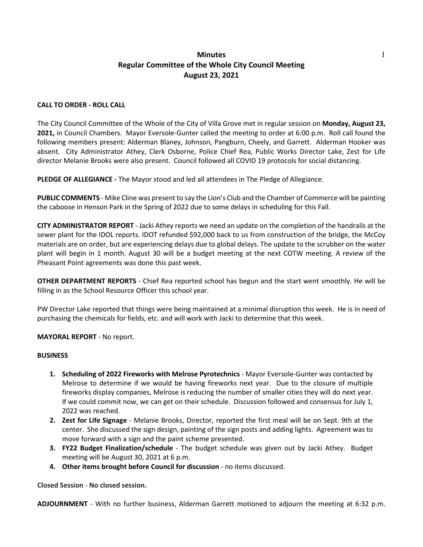## **Minutes** 1 **Regular Committee of the Whole City Council Meeting August 23, 2021**

## **CALL TO ORDER - ROLL CALL**

The City Council Committee of the Whole of the City of Villa Grove met in regular session on **Monday, August 23, 2021,** in Council Chambers. Mayor Eversole-Gunter called the meeting to order at 6:00 p.m. Roll call found the following members present: Alderman Blaney, Johnson, Pangburn, Cheely, and Garrett. Alderman Hooker was absent. City Administrator Athey, Clerk Osborne, Police Chief Rea, Public Works Director Lake, Zest for Life director Melanie Brooks were also present. Council followed all COVID 19 protocols for social distancing.

**PLEDGE OF ALLEGIANCE -** The Mayor stood and led all attendees in The Pledge of Allegiance.

**PUBLIC COMMENTS** - Mike Cline was present to say the Lion's Club and the Chamber of Commerce will be painting the caboose in Henson Park in the Spring of 2022 due to some delays in scheduling for this Fall.

**CITY ADMINISTRATOR REPORT** - Jacki Athey reports we need an update on the completion of the handrails at the sewer plant for the IDOL reports. IDOT refunded \$92,000 back to us from construction of the bridge, the McCoy materials are on order, but are experiencing delays due to global delays. The update to the scrubber on the water plant will begin in 1 month. August 30 will be a budget meeting at the next COTW meeting. A review of the Pheasant Point agreements was done this past week.

**OTHER DEPARTMENT REPORTS** - Chief Rea reported school has begun and the start went smoothly. He will be filling in as the School Resource Officer this school year.

PW Director Lake reported that things were being maintained at a minimal disruption this week. He is in need of purchasing the chemicals for fields, etc. and will work with Jacki to determine that this week.

**MAYORAL REPORT** - No report.

## **BUSINESS**

- **1. Scheduling of 2022 Fireworks with Melrose Pyrotechnics** Mayor Eversole-Gunter was contacted by Melrose to determine if we would be having fireworks next year. Due to the closure of multiple fireworks display companies, Melrose is reducing the number of smaller cities they will do next year. If we could commit now, we can get on their schedule. Discussion followed and consensus for July 1, 2022 was reached.
- **2. Zest for Life Signage** Melanie Brooks, Director, reported the first meal will be on Sept. 9th at the center. She discussed the sign design, painting of the sign posts and adding lights. Agreement was to move forward with a sign and the paint scheme presented.
- **3. FY22 Budget Finalization/schedule** The budget schedule was given out by Jacki Athey. Budget meeting will be August 30, 2021 at 6 p.m.
- **4. Other items brought before Council for discussion** no items discussed.

**Closed Session** - **No closed session.** 

**ADJOURNMENT** - With no further business, Alderman Garrett motioned to adjourn the meeting at 6:32 p.m.